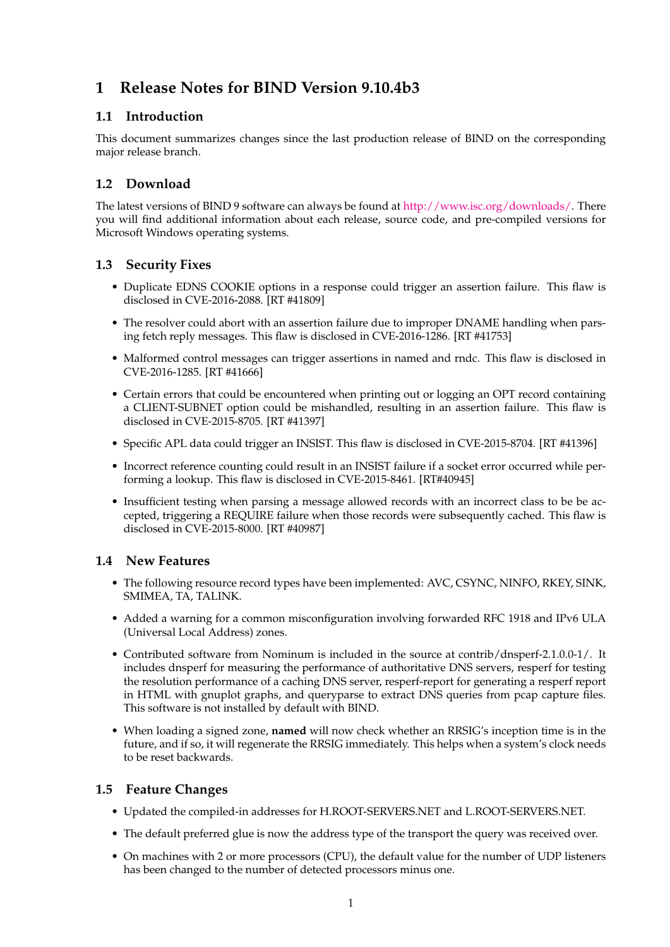# **1 Release Notes for BIND Version 9.10.4b3**

#### **1.1 Introduction**

This document summarizes changes since the last production release of BIND on the corresponding major release branch.

### **1.2 Download**

The latest versions of BIND 9 software can always be found at [http://www.isc.org/downloads/.](http://www.isc.org/downloads/) There you will find additional information about each release, source code, and pre-compiled versions for Microsoft Windows operating systems.

#### **1.3 Security Fixes**

- Duplicate EDNS COOKIE options in a response could trigger an assertion failure. This flaw is disclosed in CVE-2016-2088. [RT #41809]
- The resolver could abort with an assertion failure due to improper DNAME handling when parsing fetch reply messages. This flaw is disclosed in CVE-2016-1286. [RT #41753]
- Malformed control messages can trigger assertions in named and rndc. This flaw is disclosed in CVE-2016-1285. [RT #41666]
- Certain errors that could be encountered when printing out or logging an OPT record containing a CLIENT-SUBNET option could be mishandled, resulting in an assertion failure. This flaw is disclosed in CVE-2015-8705. [RT #41397]
- Specific APL data could trigger an INSIST. This flaw is disclosed in CVE-2015-8704. [RT #41396]
- Incorrect reference counting could result in an INSIST failure if a socket error occurred while performing a lookup. This flaw is disclosed in CVE-2015-8461. [RT#40945]
- Insufficient testing when parsing a message allowed records with an incorrect class to be be accepted, triggering a REQUIRE failure when those records were subsequently cached. This flaw is disclosed in CVE-2015-8000. [RT #40987]

#### **1.4 New Features**

- The following resource record types have been implemented: AVC, CSYNC, NINFO, RKEY, SINK, SMIMEA, TA, TALINK.
- Added a warning for a common misconfiguration involving forwarded RFC 1918 and IPv6 ULA (Universal Local Address) zones.
- Contributed software from Nominum is included in the source at contrib/dnsperf-2.1.0.0-1/. It includes dnsperf for measuring the performance of authoritative DNS servers, resperf for testing the resolution performance of a caching DNS server, resperf-report for generating a resperf report in HTML with gnuplot graphs, and queryparse to extract DNS queries from pcap capture files. This software is not installed by default with BIND.
- When loading a signed zone, **named** will now check whether an RRSIG's inception time is in the future, and if so, it will regenerate the RRSIG immediately. This helps when a system's clock needs to be reset backwards.

#### **1.5 Feature Changes**

- Updated the compiled-in addresses for H.ROOT-SERVERS.NET and L.ROOT-SERVERS.NET.
- The default preferred glue is now the address type of the transport the query was received over.
- On machines with 2 or more processors (CPU), the default value for the number of UDP listeners has been changed to the number of detected processors minus one.